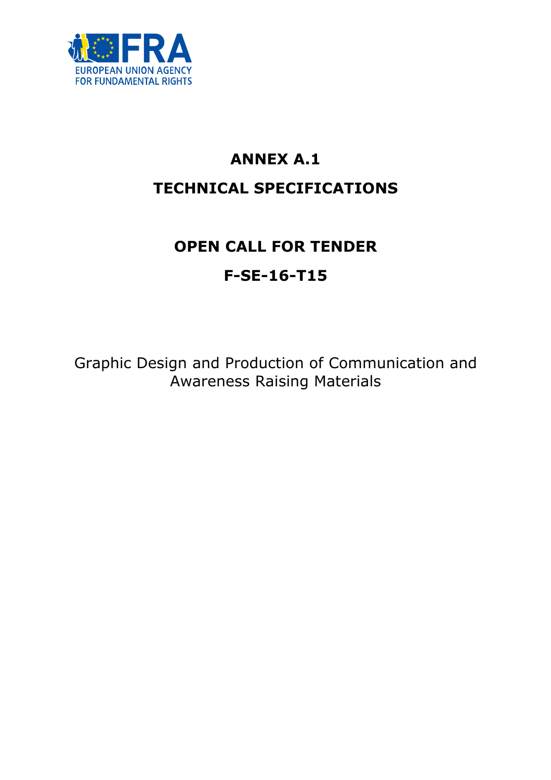

# ANNEX A.1 TECHNICAL SPECIFICATIONS

# OPEN CALL FOR TENDER F-SE-16-T15

Graphic Design and Production of Communication and Awareness Raising Materials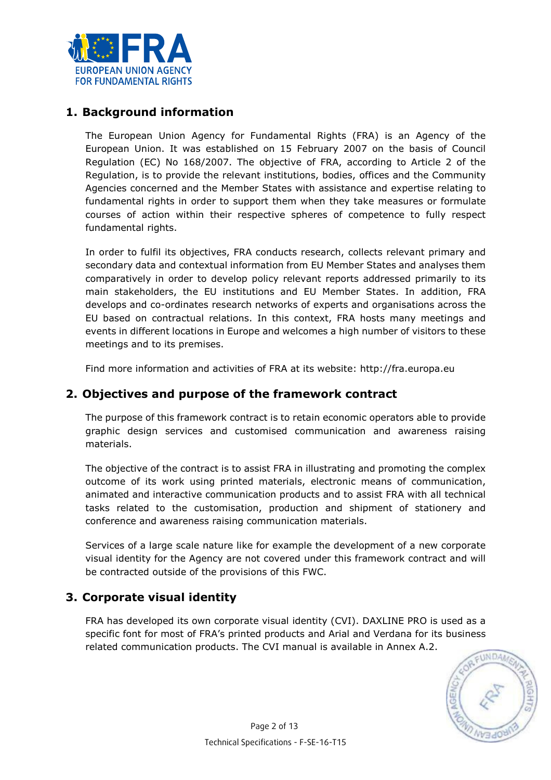

# 1. Background information

The European Union Agency for Fundamental Rights (FRA) is an Agency of the European Union. It was established on 15 February 2007 on the basis of Council Regulation (EC) No 168/2007. The objective of FRA, according to Article 2 of the Regulation, is to provide the relevant institutions, bodies, offices and the Community Agencies concerned and the Member States with assistance and expertise relating to fundamental rights in order to support them when they take measures or formulate courses of action within their respective spheres of competence to fully respect fundamental rights.

In order to fulfil its objectives, FRA conducts research, collects relevant primary and secondary data and contextual information from EU Member States and analyses them comparatively in order to develop policy relevant reports addressed primarily to its main stakeholders, the EU institutions and EU Member States. In addition, FRA develops and co-ordinates research networks of experts and organisations across the EU based on contractual relations. In this context, FRA hosts many meetings and events in different locations in Europe and welcomes a high number of visitors to these meetings and to its premises.

Find more information and activities of FRA at its website: http://fra.europa.eu

# 2. Objectives and purpose of the framework contract

The purpose of this framework contract is to retain economic operators able to provide graphic design services and customised communication and awareness raising materials.

The objective of the contract is to assist FRA in illustrating and promoting the complex outcome of its work using printed materials, electronic means of communication, animated and interactive communication products and to assist FRA with all technical tasks related to the customisation, production and shipment of stationery and conference and awareness raising communication materials.

Services of a large scale nature like for example the development of a new corporate visual identity for the Agency are not covered under this framework contract and will be contracted outside of the provisions of this FWC.

# 3. Corporate visual identity

FRA has developed its own corporate visual identity (CVI). DAXLINE PRO is used as a specific font for most of FRA's printed products and Arial and Verdana for its business related communication products. The CVI manual is available in Annex A.2.

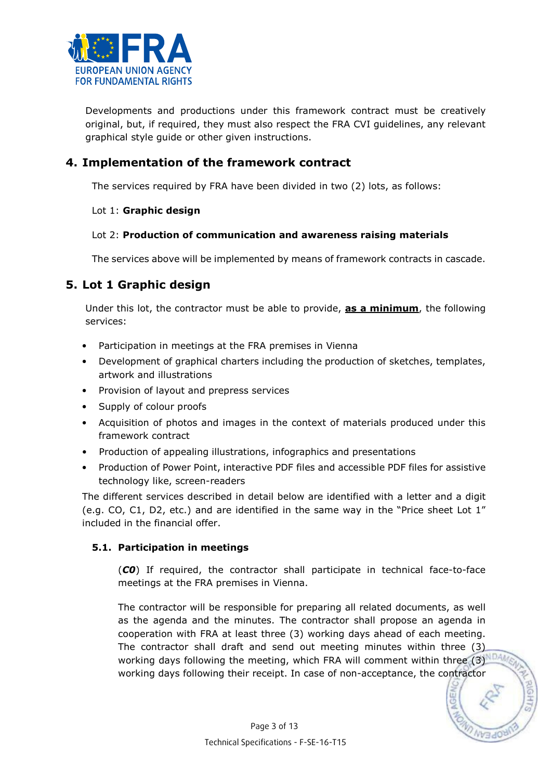

Developments and productions under this framework contract must be creatively original, but, if required, they must also respect the FRA CVI guidelines, any relevant graphical style guide or other given instructions.

# 4. Implementation of the framework contract

The services required by FRA have been divided in two (2) lots, as follows:

# Lot 1: Graphic design

# Lot 2: Production of communication and awareness raising materials

The services above will be implemented by means of framework contracts in cascade.

# 5. Lot 1 Graphic design

Under this lot, the contractor must be able to provide, as a minimum, the following services:

- Participation in meetings at the FRA premises in Vienna
- Development of graphical charters including the production of sketches, templates, artwork and illustrations
- Provision of layout and prepress services
- Supply of colour proofs
- Acquisition of photos and images in the context of materials produced under this framework contract
- Production of appealing illustrations, infographics and presentations
- Production of Power Point, interactive PDF files and accessible PDF files for assistive technology like, screen-readers

The different services described in detail below are identified with a letter and a digit (e.g. CO, C1, D2, etc.) and are identified in the same way in the "Price sheet Lot 1" included in the financial offer.

# 5.1. Participation in meetings

(C0) If required, the contractor shall participate in technical face-to-face meetings at the FRA premises in Vienna.

The contractor will be responsible for preparing all related documents, as well as the agenda and the minutes. The contractor shall propose an agenda in cooperation with FRA at least three (3) working days ahead of each meeting. The contractor shall draft and send out meeting minutes within three (3) working days following the meeting, which FRA will comment within three (3) NDAM working days following their receipt. In case of non-acceptance, the contractor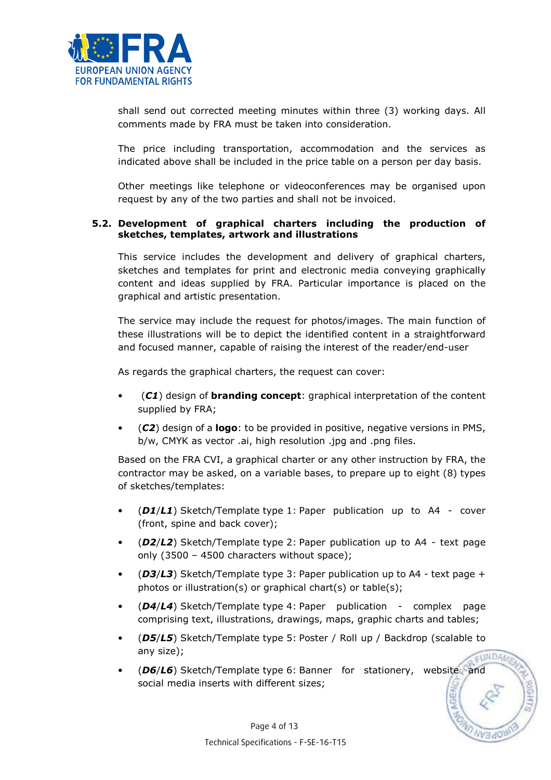

shall send out corrected meeting minutes within three (3) working days. All comments made by FRA must be taken into consideration.

The price including transportation, accommodation and the services as indicated above shall be included in the price table on a person per day basis.

Other meetings like telephone or videoconferences may be organised upon request by any of the two parties and shall not be invoiced.

### 5.2. Development of graphical charters including the production of sketches, templates, artwork and illustrations

This service includes the development and delivery of graphical charters, sketches and templates for print and electronic media conveying graphically content and ideas supplied by FRA. Particular importance is placed on the graphical and artistic presentation.

The service may include the request for photos/images. The main function of these illustrations will be to depict the identified content in a straightforward and focused manner, capable of raising the interest of the reader/end-user

As regards the graphical charters, the request can cover:

- $(C1)$  design of **branding concept**: graphical interpretation of the content supplied by FRA;
- (C2) design of a logo: to be provided in positive, negative versions in PMS, b/w, CMYK as vector .ai, high resolution .jpg and .png files.

Based on the FRA CVI, a graphical charter or any other instruction by FRA, the contractor may be asked, on a variable bases, to prepare up to eight (8) types of sketches/templates:

- (D1/L1) Sketch/Template type 1: Paper publication up to A4 cover (front, spine and back cover);
- (D2/L2) Sketch/Template type 2: Paper publication up to A4 text page only (3500 – 4500 characters without space);
- ( $D3/L3$ ) Sketch/Template type 3: Paper publication up to A4 text page + photos or illustration(s) or graphical chart(s) or table(s);
- (D4/L4) Sketch/Template type 4: Paper publication complex page comprising text, illustrations, drawings, maps, graphic charts and tables;
- (D5/L5) Sketch/Template type 5: Poster / Roll up / Backdrop (scalable to any size); **ELINDAN**
- (D6/L6) Sketch/Template type 6: Banner for stationery, website and social media inserts with different sizes;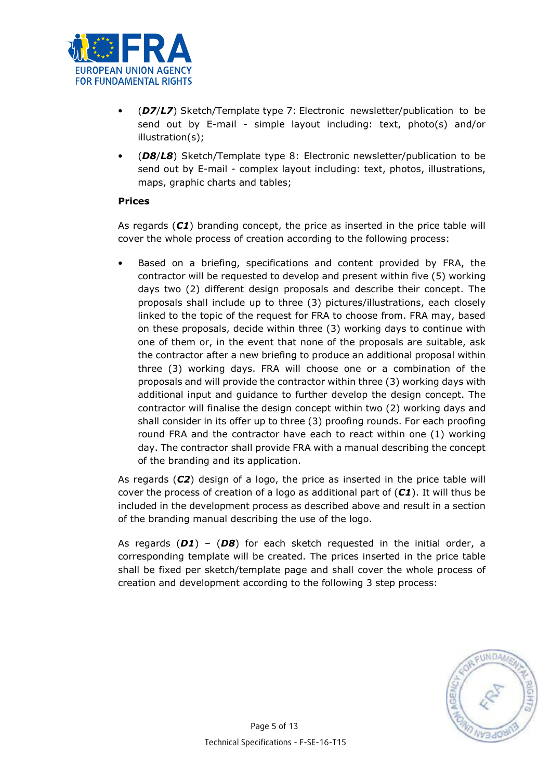

- (D7/L7) Sketch/Template type 7: Electronic newsletter/publication to be send out by E-mail - simple layout including: text, photo(s) and/or illustration(s);
- (D8/L8) Sketch/Template type 8: Electronic newsletter/publication to be send out by E-mail - complex layout including: text, photos, illustrations, maps, graphic charts and tables;

### Prices

As regards  $(C1)$  branding concept, the price as inserted in the price table will cover the whole process of creation according to the following process:

• Based on a briefing, specifications and content provided by FRA, the contractor will be requested to develop and present within five (5) working days two (2) different design proposals and describe their concept. The proposals shall include up to three (3) pictures/illustrations, each closely linked to the topic of the request for FRA to choose from. FRA may, based on these proposals, decide within three (3) working days to continue with one of them or, in the event that none of the proposals are suitable, ask the contractor after a new briefing to produce an additional proposal within three (3) working days. FRA will choose one or a combination of the proposals and will provide the contractor within three (3) working days with additional input and guidance to further develop the design concept. The contractor will finalise the design concept within two (2) working days and shall consider in its offer up to three (3) proofing rounds. For each proofing round FRA and the contractor have each to react within one (1) working day. The contractor shall provide FRA with a manual describing the concept of the branding and its application.

As regards (C2) design of a logo, the price as inserted in the price table will cover the process of creation of a logo as additional part of  $(C1)$ . It will thus be included in the development process as described above and result in a section of the branding manual describing the use of the logo.

As regards ( $D1$ ) – ( $D8$ ) for each sketch requested in the initial order, a corresponding template will be created. The prices inserted in the price table shall be fixed per sketch/template page and shall cover the whole process of creation and development according to the following 3 step process:

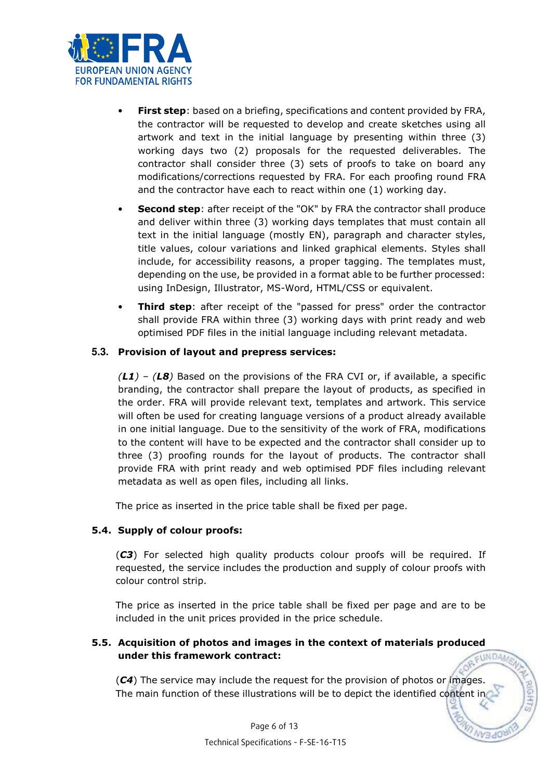

- First step: based on a briefing, specifications and content provided by FRA, the contractor will be requested to develop and create sketches using all artwork and text in the initial language by presenting within three (3) working days two (2) proposals for the requested deliverables. The contractor shall consider three (3) sets of proofs to take on board any modifications/corrections requested by FRA. For each proofing round FRA and the contractor have each to react within one (1) working day.
- **Second step:** after receipt of the "OK" by FRA the contractor shall produce and deliver within three (3) working days templates that must contain all text in the initial language (mostly EN), paragraph and character styles, title values, colour variations and linked graphical elements. Styles shall include, for accessibility reasons, a proper tagging. The templates must, depending on the use, be provided in a format able to be further processed: using InDesign, Illustrator, MS-Word, HTML/CSS or equivalent.
- **Third step:** after receipt of the "passed for press" order the contractor shall provide FRA within three (3) working days with print ready and web optimised PDF files in the initial language including relevant metadata.

### **5.3.** Provision of layout and prepress services:

 $(L1)$  –  $(L3)$  Based on the provisions of the FRA CVI or, if available, a specific branding, the contractor shall prepare the layout of products, as specified in the order. FRA will provide relevant text, templates and artwork. This service will often be used for creating language versions of a product already available in one initial language. Due to the sensitivity of the work of FRA, modifications to the content will have to be expected and the contractor shall consider up to three (3) proofing rounds for the layout of products. The contractor shall provide FRA with print ready and web optimised PDF files including relevant metadata as well as open files, including all links.

The price as inserted in the price table shall be fixed per page.

### 5.4. Supply of colour proofs:

(C3) For selected high quality products colour proofs will be required. If requested, the service includes the production and supply of colour proofs with colour control strip.

The price as inserted in the price table shall be fixed per page and are to be included in the unit prices provided in the price schedule.

#### 5.5. Acquisition of photos and images in the context of materials produced under this framework contract: **FUNDA**

 $(C4)$  The service may include the request for the provision of photos or images. The main function of these illustrations will be to depict the identified content in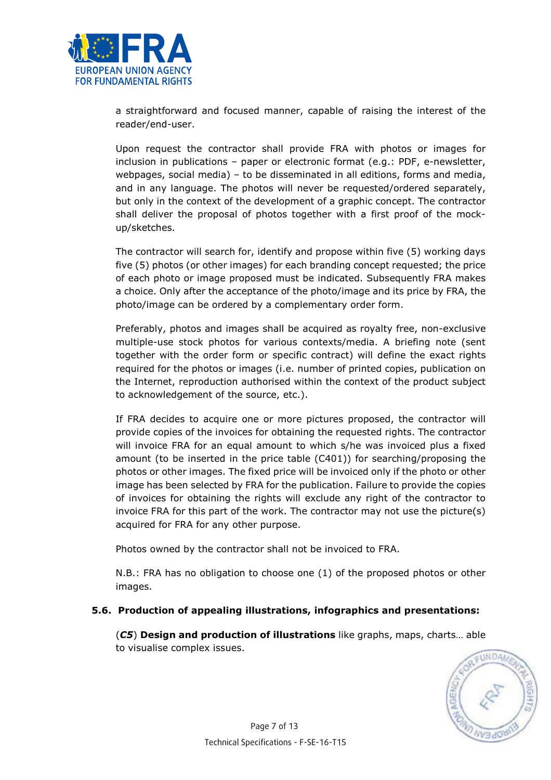

a straightforward and focused manner, capable of raising the interest of the reader/end-user.

Upon request the contractor shall provide FRA with photos or images for inclusion in publications – paper or electronic format (e.g.: PDF, e-newsletter, webpages, social media) – to be disseminated in all editions, forms and media, and in any language. The photos will never be requested/ordered separately, but only in the context of the development of a graphic concept. The contractor shall deliver the proposal of photos together with a first proof of the mockup/sketches.

The contractor will search for, identify and propose within five (5) working days five (5) photos (or other images) for each branding concept requested; the price of each photo or image proposed must be indicated. Subsequently FRA makes a choice. Only after the acceptance of the photo/image and its price by FRA, the photo/image can be ordered by a complementary order form.

Preferably, photos and images shall be acquired as royalty free, non-exclusive multiple-use stock photos for various contexts/media. A briefing note (sent together with the order form or specific contract) will define the exact rights required for the photos or images (i.e. number of printed copies, publication on the Internet, reproduction authorised within the context of the product subject to acknowledgement of the source, etc.).

If FRA decides to acquire one or more pictures proposed, the contractor will provide copies of the invoices for obtaining the requested rights. The contractor will invoice FRA for an equal amount to which s/he was invoiced plus a fixed amount (to be inserted in the price table (C401)) for searching/proposing the photos or other images. The fixed price will be invoiced only if the photo or other image has been selected by FRA for the publication. Failure to provide the copies of invoices for obtaining the rights will exclude any right of the contractor to invoice FRA for this part of the work. The contractor may not use the picture(s) acquired for FRA for any other purpose.

Photos owned by the contractor shall not be invoiced to FRA.

N.B.: FRA has no obligation to choose one (1) of the proposed photos or other images.

### 5.6. Production of appealing illustrations, infographics and presentations:

(C5) Design and production of illustrations like graphs, maps, charts... able to visualise complex issues.

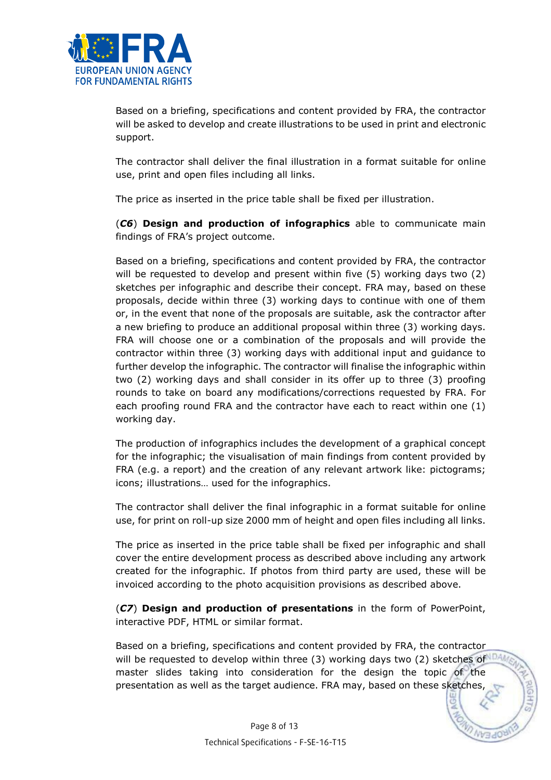

Based on a briefing, specifications and content provided by FRA, the contractor will be asked to develop and create illustrations to be used in print and electronic support.

The contractor shall deliver the final illustration in a format suitable for online use, print and open files including all links.

The price as inserted in the price table shall be fixed per illustration.

(C6) Design and production of infographics able to communicate main findings of FRA's project outcome.

Based on a briefing, specifications and content provided by FRA, the contractor will be requested to develop and present within five (5) working days two (2) sketches per infographic and describe their concept. FRA may, based on these proposals, decide within three (3) working days to continue with one of them or, in the event that none of the proposals are suitable, ask the contractor after a new briefing to produce an additional proposal within three (3) working days. FRA will choose one or a combination of the proposals and will provide the contractor within three (3) working days with additional input and guidance to further develop the infographic. The contractor will finalise the infographic within two (2) working days and shall consider in its offer up to three (3) proofing rounds to take on board any modifications/corrections requested by FRA. For each proofing round FRA and the contractor have each to react within one (1) working day.

The production of infographics includes the development of a graphical concept for the infographic; the visualisation of main findings from content provided by FRA (e.g. a report) and the creation of any relevant artwork like: pictograms; icons; illustrations… used for the infographics.

The contractor shall deliver the final infographic in a format suitable for online use, for print on roll-up size 2000 mm of height and open files including all links.

The price as inserted in the price table shall be fixed per infographic and shall cover the entire development process as described above including any artwork created for the infographic. If photos from third party are used, these will be invoiced according to the photo acquisition provisions as described above.

(C7) Design and production of presentations in the form of PowerPoint, interactive PDF, HTML or similar format.

Based on a briefing, specifications and content provided by FRA, the contractor will be requested to develop within three (3) working days two (2) sketches of master slides taking into consideration for the design the topic of the presentation as well as the target audience. FRA may, based on these sketches,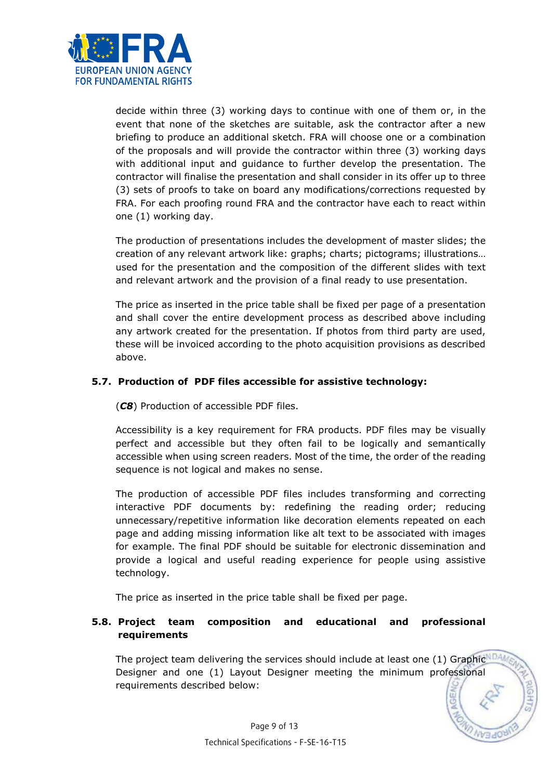

decide within three (3) working days to continue with one of them or, in the event that none of the sketches are suitable, ask the contractor after a new briefing to produce an additional sketch. FRA will choose one or a combination of the proposals and will provide the contractor within three (3) working days with additional input and guidance to further develop the presentation. The contractor will finalise the presentation and shall consider in its offer up to three (3) sets of proofs to take on board any modifications/corrections requested by FRA. For each proofing round FRA and the contractor have each to react within one (1) working day.

The production of presentations includes the development of master slides; the creation of any relevant artwork like: graphs; charts; pictograms; illustrations… used for the presentation and the composition of the different slides with text and relevant artwork and the provision of a final ready to use presentation.

The price as inserted in the price table shall be fixed per page of a presentation and shall cover the entire development process as described above including any artwork created for the presentation. If photos from third party are used, these will be invoiced according to the photo acquisition provisions as described above.

# 5.7. Production of PDF files accessible for assistive technology:

(C8) Production of accessible PDF files.

Accessibility is a key requirement for FRA products. PDF files may be visually perfect and accessible but they often fail to be logically and semantically accessible when using screen readers. Most of the time, the order of the reading sequence is not logical and makes no sense.

The production of accessible PDF files includes transforming and correcting interactive PDF documents by: redefining the reading order; reducing unnecessary/repetitive information like decoration elements repeated on each page and adding missing information like alt text to be associated with images for example. The final PDF should be suitable for electronic dissemination and provide a logical and useful reading experience for people using assistive technology.

The price as inserted in the price table shall be fixed per page.

# 5.8. Project team composition and educational and professional requirements

The project team delivering the services should include at least one (1) Graphic Designer and one (1) Layout Designer meeting the minimum professional requirements described below: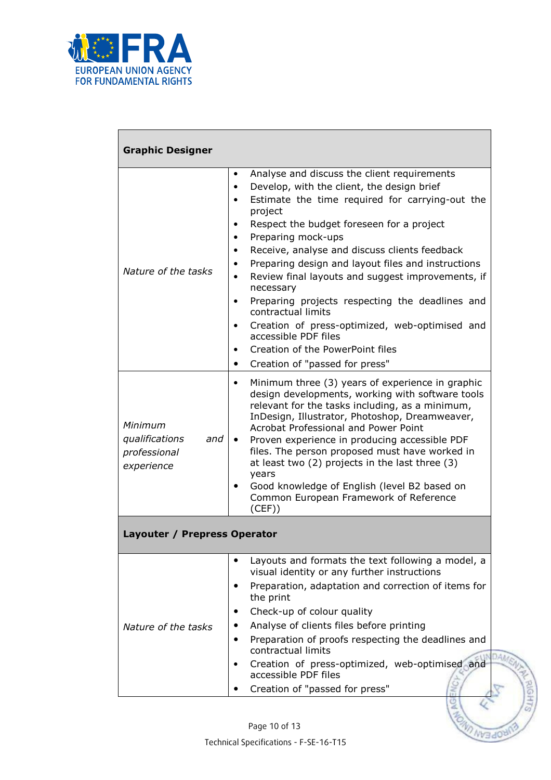

| <b>Graphic Designer</b>                                        |                                                                                                                                                                                                                                                                                                                                                                                                                                                                                                                                                                                                                                                             |  |
|----------------------------------------------------------------|-------------------------------------------------------------------------------------------------------------------------------------------------------------------------------------------------------------------------------------------------------------------------------------------------------------------------------------------------------------------------------------------------------------------------------------------------------------------------------------------------------------------------------------------------------------------------------------------------------------------------------------------------------------|--|
| Nature of the tasks                                            | Analyse and discuss the client requirements<br>$\bullet$<br>Develop, with the client, the design brief<br>$\bullet$<br>Estimate the time required for carrying-out the<br>project<br>Respect the budget foreseen for a project<br>$\bullet$<br>Preparing mock-ups<br>Receive, analyse and discuss clients feedback<br>Preparing design and layout files and instructions<br>$\bullet$<br>Review final layouts and suggest improvements, if<br>necessary<br>Preparing projects respecting the deadlines and<br>$\bullet$<br>contractual limits<br>Creation of press-optimized, web-optimised and<br>accessible PDF files<br>Creation of the PowerPoint files |  |
| Minimum<br>qualifications<br>and<br>professional<br>experience | Creation of "passed for press"<br>$\bullet$<br>Minimum three (3) years of experience in graphic<br>design developments, working with software tools<br>relevant for the tasks including, as a minimum,<br>InDesign, Illustrator, Photoshop, Dreamweaver,<br><b>Acrobat Professional and Power Point</b><br>Proven experience in producing accessible PDF<br>$\bullet$<br>files. The person proposed must have worked in<br>at least two (2) projects in the last three (3)<br>years<br>Good knowledge of English (level B2 based on<br>$\bullet$<br>Common European Framework of Reference<br>(CEF)                                                         |  |
| Layouter / Prepress Operator                                   |                                                                                                                                                                                                                                                                                                                                                                                                                                                                                                                                                                                                                                                             |  |
| Nature of the tasks                                            | Layouts and formats the text following a model, a<br>visual identity or any further instructions<br>Preparation, adaptation and correction of items for<br>the print<br>Check-up of colour quality<br>Analyse of clients files before printing<br>Preparation of proofs respecting the deadlines and<br>contractual limits<br>Creation of press-optimized, web-optimised and<br>accessible PDF files<br>Creation of "passed for press"                                                                                                                                                                                                                      |  |

ΞÉ

**AGAD NY3400**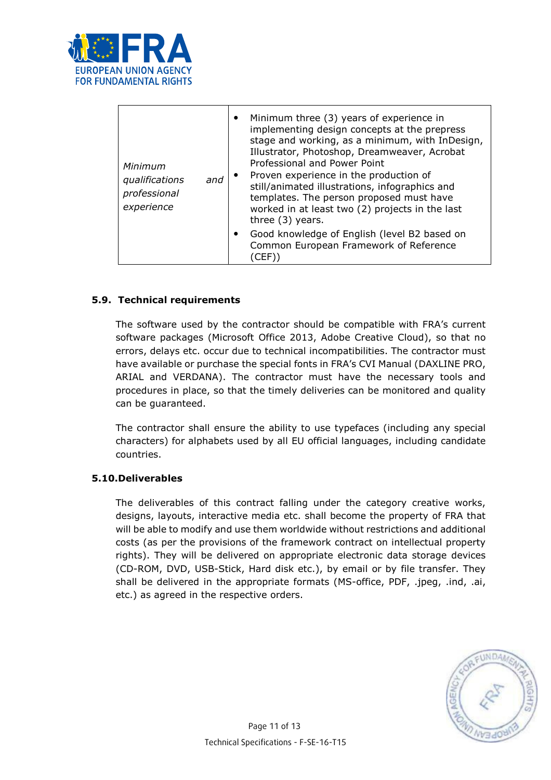

| Minimum<br>qualifications<br>and<br>professional<br>experience | Minimum three (3) years of experience in<br>$\bullet$<br>implementing design concepts at the prepress<br>stage and working, as a minimum, with InDesign,<br>Illustrator, Photoshop, Dreamweaver, Acrobat<br>Professional and Power Point<br>Proven experience in the production of<br>$\bullet$<br>still/animated illustrations, infographics and<br>templates. The person proposed must have<br>worked in at least two (2) projects in the last<br>three $(3)$ years. |
|----------------------------------------------------------------|------------------------------------------------------------------------------------------------------------------------------------------------------------------------------------------------------------------------------------------------------------------------------------------------------------------------------------------------------------------------------------------------------------------------------------------------------------------------|
|                                                                | Good knowledge of English (level B2 based on<br>$\bullet$<br>Common European Framework of Reference<br>(CEF)                                                                                                                                                                                                                                                                                                                                                           |

# 5.9. Technical requirements

The software used by the contractor should be compatible with FRA's current software packages (Microsoft Office 2013, Adobe Creative Cloud), so that no errors, delays etc. occur due to technical incompatibilities. The contractor must have available or purchase the special fonts in FRA's CVI Manual (DAXLINE PRO, ARIAL and VERDANA). The contractor must have the necessary tools and procedures in place, so that the timely deliveries can be monitored and quality can be guaranteed.

The contractor shall ensure the ability to use typefaces (including any special characters) for alphabets used by all EU official languages, including candidate countries.

### 5.10.Deliverables

The deliverables of this contract falling under the category creative works, designs, layouts, interactive media etc. shall become the property of FRA that will be able to modify and use them worldwide without restrictions and additional costs (as per the provisions of the framework contract on intellectual property rights). They will be delivered on appropriate electronic data storage devices (CD-ROM, DVD, USB-Stick, Hard disk etc.), by email or by file transfer. They shall be delivered in the appropriate formats (MS-office, PDF, .jpeg, .ind, .ai, etc.) as agreed in the respective orders.

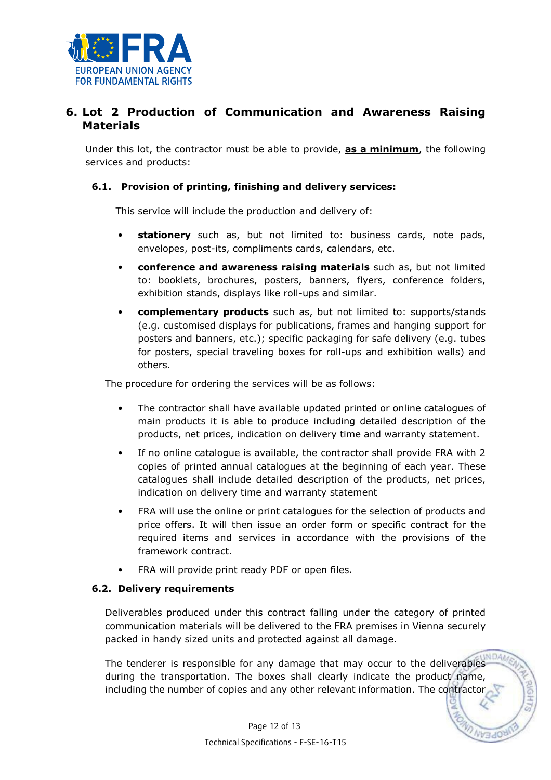

# 6. Lot 2 Production of Communication and Awareness Raising Materials

Under this lot, the contractor must be able to provide, **as a minimum**, the following services and products:

### 6.1. Provision of printing, finishing and delivery services:

This service will include the production and delivery of:

- stationery such as, but not limited to: business cards, note pads, envelopes, post-its, compliments cards, calendars, etc.
- conference and awareness raising materials such as, but not limited to: booklets, brochures, posters, banners, flyers, conference folders, exhibition stands, displays like roll-ups and similar.
- complementary products such as, but not limited to: supports/stands (e.g. customised displays for publications, frames and hanging support for posters and banners, etc.); specific packaging for safe delivery (e.g. tubes for posters, special traveling boxes for roll-ups and exhibition walls) and others.

The procedure for ordering the services will be as follows:

- The contractor shall have available updated printed or online catalogues of main products it is able to produce including detailed description of the products, net prices, indication on delivery time and warranty statement.
- If no online catalogue is available, the contractor shall provide FRA with 2 copies of printed annual catalogues at the beginning of each year. These catalogues shall include detailed description of the products, net prices, indication on delivery time and warranty statement
- FRA will use the online or print catalogues for the selection of products and price offers. It will then issue an order form or specific contract for the required items and services in accordance with the provisions of the framework contract.
- FRA will provide print ready PDF or open files.

### 6.2. Delivery requirements

Deliverables produced under this contract falling under the category of printed communication materials will be delivered to the FRA premises in Vienna securely packed in handy sized units and protected against all damage.

**WDA** The tenderer is responsible for any damage that may occur to the deliverables during the transportation. The boxes shall clearly indicate the product name, including the number of copies and any other relevant information. The contracto